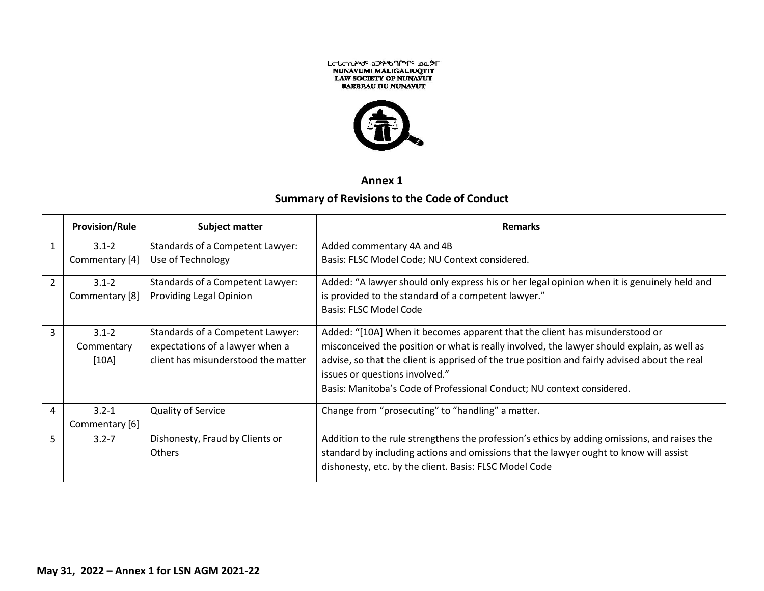



**Annex 1**

## **Summary of Revisions to the Code of Conduct**

|                | <b>Provision/Rule</b> | Subject matter                      | <b>Remarks</b>                                                                                                                  |
|----------------|-----------------------|-------------------------------------|---------------------------------------------------------------------------------------------------------------------------------|
| 1              | $3.1 - 2$             | Standards of a Competent Lawyer:    | Added commentary 4A and 4B                                                                                                      |
|                | Commentary [4]        | Use of Technology                   | Basis: FLSC Model Code; NU Context considered.                                                                                  |
| $\overline{2}$ | $3.1 - 2$             | Standards of a Competent Lawyer:    | Added: "A lawyer should only express his or her legal opinion when it is genuinely held and                                     |
|                | Commentary [8]        | <b>Providing Legal Opinion</b>      | is provided to the standard of a competent lawyer."                                                                             |
|                |                       |                                     | Basis: FLSC Model Code                                                                                                          |
| 3              | $3.1 - 2$             | Standards of a Competent Lawyer:    | Added: "[10A] When it becomes apparent that the client has misunderstood or                                                     |
|                | Commentary            | expectations of a lawyer when a     | misconceived the position or what is really involved, the lawyer should explain, as well as                                     |
|                | [10A]                 | client has misunderstood the matter | advise, so that the client is apprised of the true position and fairly advised about the real<br>issues or questions involved." |
|                |                       |                                     | Basis: Manitoba's Code of Professional Conduct; NU context considered.                                                          |
| 4              | $3.2 - 1$             | <b>Quality of Service</b>           | Change from "prosecuting" to "handling" a matter.                                                                               |
|                | Commentary [6]        |                                     |                                                                                                                                 |
| 5              | $3.2 - 7$             | Dishonesty, Fraud by Clients or     | Addition to the rule strengthens the profession's ethics by adding omissions, and raises the                                    |
|                |                       | Others                              | standard by including actions and omissions that the lawyer ought to know will assist                                           |
|                |                       |                                     | dishonesty, etc. by the client. Basis: FLSC Model Code                                                                          |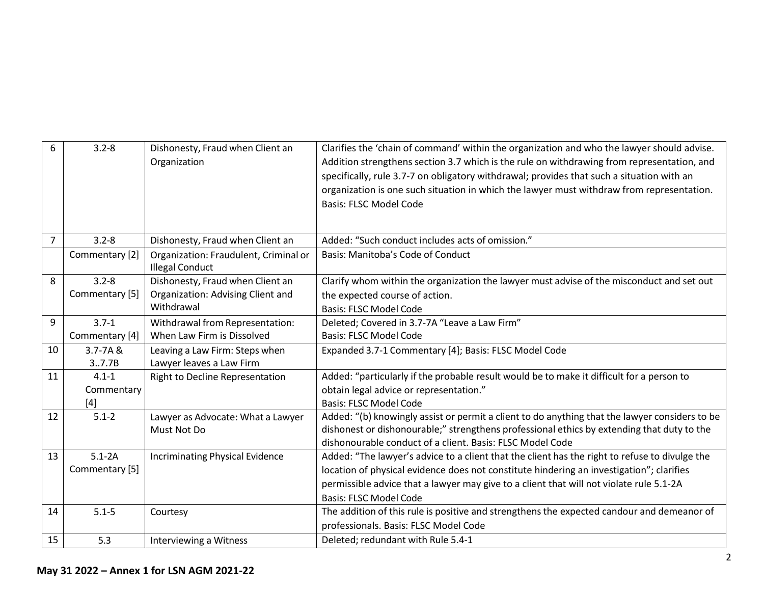| 6              | $3.2 - 8$      | Dishonesty, Fraud when Client an<br>Organization                | Clarifies the 'chain of command' within the organization and who the lawyer should advise.<br>Addition strengthens section 3.7 which is the rule on withdrawing from representation, and<br>specifically, rule 3.7-7 on obligatory withdrawal; provides that such a situation with an<br>organization is one such situation in which the lawyer must withdraw from representation.<br><b>Basis: FLSC Model Code</b> |
|----------------|----------------|-----------------------------------------------------------------|---------------------------------------------------------------------------------------------------------------------------------------------------------------------------------------------------------------------------------------------------------------------------------------------------------------------------------------------------------------------------------------------------------------------|
| $\overline{7}$ | $3.2 - 8$      | Dishonesty, Fraud when Client an                                | Added: "Such conduct includes acts of omission."                                                                                                                                                                                                                                                                                                                                                                    |
|                | Commentary [2] | Organization: Fraudulent, Criminal or<br><b>Illegal Conduct</b> | Basis: Manitoba's Code of Conduct                                                                                                                                                                                                                                                                                                                                                                                   |
| 8              | $3.2 - 8$      | Dishonesty, Fraud when Client an                                | Clarify whom within the organization the lawyer must advise of the misconduct and set out                                                                                                                                                                                                                                                                                                                           |
|                | Commentary [5] | Organization: Advising Client and                               | the expected course of action.                                                                                                                                                                                                                                                                                                                                                                                      |
|                |                | Withdrawal                                                      | <b>Basis: FLSC Model Code</b>                                                                                                                                                                                                                                                                                                                                                                                       |
| 9              | $3.7 - 1$      | Withdrawal from Representation:                                 | Deleted; Covered in 3.7-7A "Leave a Law Firm"                                                                                                                                                                                                                                                                                                                                                                       |
|                | Commentary [4] | When Law Firm is Dissolved                                      | <b>Basis: FLSC Model Code</b>                                                                                                                                                                                                                                                                                                                                                                                       |
| 10             | $3.7 - 7A &$   | Leaving a Law Firm: Steps when                                  | Expanded 3.7-1 Commentary [4]; Basis: FLSC Model Code                                                                                                                                                                                                                                                                                                                                                               |
|                | 3.7.7B         | Lawyer leaves a Law Firm                                        |                                                                                                                                                                                                                                                                                                                                                                                                                     |
| 11             | $4.1 - 1$      | Right to Decline Representation                                 | Added: "particularly if the probable result would be to make it difficult for a person to                                                                                                                                                                                                                                                                                                                           |
|                | Commentary     |                                                                 | obtain legal advice or representation."                                                                                                                                                                                                                                                                                                                                                                             |
|                | $[4]$          |                                                                 | <b>Basis: FLSC Model Code</b>                                                                                                                                                                                                                                                                                                                                                                                       |
| 12             | $5.1 - 2$      | Lawyer as Advocate: What a Lawyer                               | Added: "(b) knowingly assist or permit a client to do anything that the lawyer considers to be                                                                                                                                                                                                                                                                                                                      |
|                |                | Must Not Do                                                     | dishonest or dishonourable;" strengthens professional ethics by extending that duty to the                                                                                                                                                                                                                                                                                                                          |
|                |                |                                                                 | dishonourable conduct of a client. Basis: FLSC Model Code                                                                                                                                                                                                                                                                                                                                                           |
| 13             | $5.1 - 2A$     | <b>Incriminating Physical Evidence</b>                          | Added: "The lawyer's advice to a client that the client has the right to refuse to divulge the                                                                                                                                                                                                                                                                                                                      |
|                | Commentary [5] |                                                                 | location of physical evidence does not constitute hindering an investigation"; clarifies                                                                                                                                                                                                                                                                                                                            |
|                |                |                                                                 | permissible advice that a lawyer may give to a client that will not violate rule 5.1-2A                                                                                                                                                                                                                                                                                                                             |
|                |                |                                                                 | <b>Basis: FLSC Model Code</b>                                                                                                                                                                                                                                                                                                                                                                                       |
| 14             | $5.1 - 5$      | Courtesy                                                        | The addition of this rule is positive and strengthens the expected candour and demeanor of                                                                                                                                                                                                                                                                                                                          |
|                |                |                                                                 | professionals. Basis: FLSC Model Code                                                                                                                                                                                                                                                                                                                                                                               |
| 15             | 5.3            | Interviewing a Witness                                          | Deleted; redundant with Rule 5.4-1                                                                                                                                                                                                                                                                                                                                                                                  |